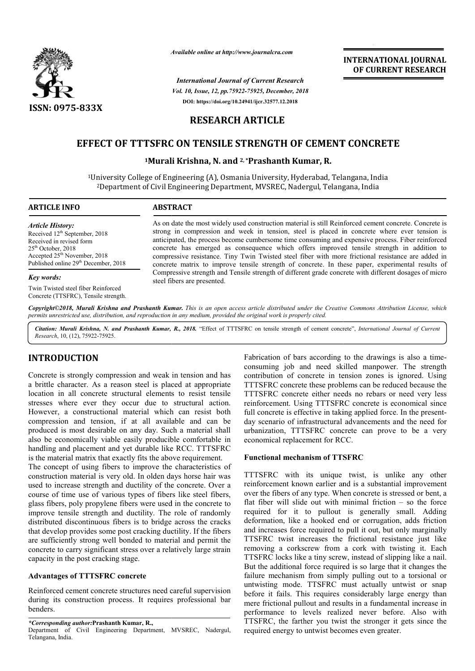

*Available online at http://www.journalcra.com*

*International Journal of Current Research Vol. 10, Issue, 12, pp.75922-75925, December, 2018* **DOI: https://doi.org/10.24941/ijcr.32577.12.2018**

# **INTERNATIONAL JOURNAL OF CURRENT RESEARCH**

# **RESEARCH ARTICLE**

# **EFFECT OF TTTSFRC ON TENSILE STRENGTH OF CEMENT CONCRETE**

# <sup>1</sup>Murali Krishna, N. and <sup>2,</sup> \*Prashanth Kumar, R.

<sup>1</sup>University College of Engineering (A), Osmania University, Hyderabad, Telangana, India<sup>2</sup>Department of Civil Engineering Department, MVSREC, Nadergul, Telangana, India <sup>2</sup>Department of Civil Engineering Department, MVSREC, Nadergul, Telangana, India

## **ARTICLE INFO ABSTRACT**

*Article History:* Received 12<sup>th</sup> September, 2018 Received in revised form 25<sup>th</sup> October, 2018 Accepted  $25<sup>th</sup>$  November, 2018 Published online 29<sup>th</sup> December, 2018

#### *Key words:*

Twin Twisted steel fiber Reinforced Concrete (TTSFRC), Tensile strength.

As on date the most widely used construction material is still Reinforced cement concrete. Concrete is As on date the most widely used construction material is still Reinforced cement concrete. Concrete is strong in compression and week in tension, steel is placed in concrete where ever tension is anticipated, the process become cumbersome time consuming and expensive process. Fiber reinforced concrete has emerged as consequence which offers improved tensile strength in addition to compressive resistance. Tiny Twin Twi Twisted steel fiber with more frictional resistance are added in concrete matrix to improve tensile strength of concrete. In these paper, experimental results of Compressive strength and Tensile strength of different grade concrete with different dosages of m steel fibers are presented. anticipated, the process become cumbersome time consuming and expensive process. Fiber reinforced concrete has emerged as consequence which offers improved tensile strength in addition to compressive resistance. Tiny Twin

Copyright©2018, Murali Krishna and Prashanth Kumar. This is an open access article distributed under the Creative Commons Attribution License, which permits unrestricted use, distribution, and reproduction in any medium, provided the original work is properly cited.

Citation: Murali Krishna, N. and Prashanth Kumar, R., 2018. "Effect of TTTSFRC on tensile strength of cement concrete", *International Journal of Current Research*, 10, (12), 75922-75925.

# **INTRODUCTION**

Concrete is strongly compression and weak in tension and has a brittle character. As a reason steel is placed at appropriate location in all concrete structural elements to resist tensile stresses where ever they occur due to structural action. However, a constructional material which can resist both compression and tension, if at all available and can be produced is most desirable on any day. Such a material shall also be economically viable easily producible comfortable in handling and placement and yet durable like RCC. TTTSFRC is the material matrix that exactly fits the above requirement. cible comfortable in<br>ike RCC. TTTSFRC<br>bove requirement.<br>the characteristics of<br>days horse hair was

The concept of using fibers to improve the characteristics of construction material is very old. In olden days hor used to increase strength and ductility of the concrete. Over a course of time use of various types of fibers like steel fibers, glass fibers, poly propylene fibers were used in the concrete to improve tensile strength and ductility. The role of randomly distributed discontinuous fibers is to bridge across the cracks that develop provides some post cracking ductility. If the fibers are sufficiently strong well bonded to material and permit the concrete to carry significant stress over a relatively large strain capacity in the post cracking stage.

## **Advantages of TTTSFRC concrete**

Reinforced cement concrete structures need careful supervision during its construction process. It requires professional bar benders.

*\*Corresponding author:***Prashanth Kumar, R.,** Department of Civil Engineering Department, MVSREC, Nadergul, Telangana, India.

Fabrication of bars according to the drawings is also a timeconsuming job and need skilled manpower. The strength consuming job and need skilled manpower. The strength contribution of concrete in tension zones is ignored. Using TTTSFRC concrete these problems can be reduced because the TTTSFRC concrete either needs no rebars or need very less reinforcement. Using TTTSFRC concrete is economical since reinforcement. Using TTTSFRC concrete is economical since<br>full concrete is effective in taking applied force. In the presentday scenario of infrastructural advancements and the need for urbanization, TTTSFRC concrete can prove to be a very economical replacement for RCC.

## **Functional mechanism of TTSFRC**

TTTSFRC with its unique twist, is unlike any other reinforcement known earlier and is a substantial improvement over the fibers of any type. When concrete is stressed or bent, a flat fiber will slide out with minimal friction  $-$  so the force required for it to pullout is generally small. Adding required for it to pullout is generally small. Adding deformation, like a hooked end or corrugation, adds friction and increases force required to pull it out, but only marginally TTSFRC twist increases the frictional resistance just like removing a corkscrew from a cork with twisting it. Each TTSFRC locks like a tiny screw, instead of slipping like a nail. But the additional force required is so large that it changes the failure mechanism from simply pulling out to a torsional or untwisting mode. TTSFRC must actually untwist or snap before it fails. This requires considerably large energy than mere frictional pullout and results in a fundamental increase in performance to levels realized never before. Also with TTSFRC, the farther you twist the stronger it gets since the required energy to untwist becomes even greater. day scenario of infrastructural advancements and the need for<br>urbanization, TTTSFRC concrete can prove to be a very<br>economical replacement for RCC.<br>**Functional mechanism of TTSFRC**<br>TTTSFRC with its unique twist, is unlike ist increases the frictional resistance just like corkscrew from a cork with twisting it. Each is like a tiny screw, instead of slipping like a nail. the additional force required is so large that it changes the ree mechanism from simply pulling out to a torsional or visting mode. TTSFRC must actually untwist or snap re it fails. This requires considerably large energy **INTERNATIONAL JOURNAL TOONAL FOURNAL FOURNAL FOURNAL FOURNAL TOURNEL TRISE CASE AND AND CONCRECT CONCRECT CONCRECT CONCRECT CONCRECT CONCRECT C PRESENT CONCRECT C PRESENT CONCRECT C PRESENT CONCRECT C PRESENT CONCRECT C P**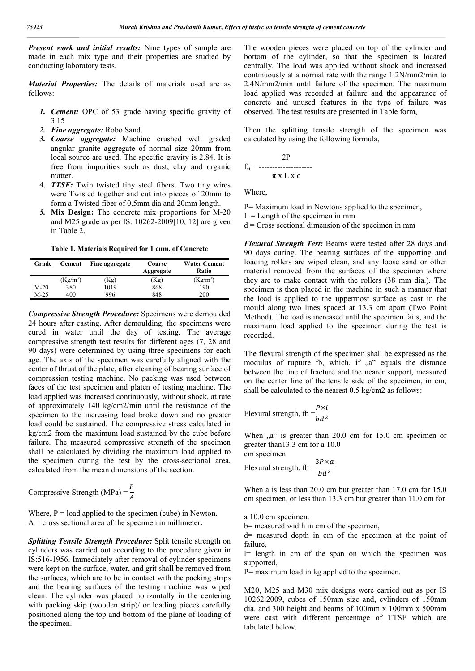*Present work and initial results:* Nine types of sample are made in each mix type and their properties are studied by conducting laboratory tests.

*Material Properties:* The details of materials used are as follows:

- *1. Cement:* OPC of 53 grade having specific gravity of 3.15
- *2. Fine aggregate:* Robo Sand.
- *3. Coarse aggregate:* Machine crushed well graded angular granite aggregate of normal size 20mm from local source are used. The specific gravity is 2.84. It is free from impurities such as dust, clay and organic matter.
- 4. *TTSF:* Twin twisted tiny steel fibers. Two tiny wires were Twisted together and cut into pieces of 20mm to form a Twisted fiber of 0.5mm dia and 20mm length.
- *5.* **Mix Design:** The concrete mix proportions for M-20 and M25 grade as per IS: 10262-2009[10, 12] are given in Table 2.

**Table 1. Materials Required for 1 cum. of Concrete**

| Grade  | Cement     | Fine aggregate | Coarse<br>Aggregate | <b>Water Cement</b><br>Ratio |
|--------|------------|----------------|---------------------|------------------------------|
|        | $(Kg/m^3)$ | Kg)            | (Kg)                | $(Kg/m^3)$                   |
| $M-20$ | 380        | 1019           | 868                 | 190                          |
| $M-25$ | 400        | 996            | 848                 | 200                          |

*Compressive Strength Procedure:* Specimens were demoulded 24 hours after casting. After demoulding, the specimens were cured in water until the day of testing. The average compressive strength test results for different ages (7, 28 and 90 days) were determined by using three specimens for each age. The axis of the specimen was carefully aligned with the center of thrust of the plate, after cleaning of bearing surface of compression testing machine. No packing was used between faces of the test specimen and platen of testing machine. The load applied was increased continuously, without shock, at rate of approximately 140 kg/cm2/min until the resistance of the specimen to the increasing load broke down and no greater load could be sustained. The compressive stress calculated in kg/cm2 from the maximum load sustained by the cube before failure. The measured compressive strength of the specimen shall be calculated by dividing the maximum load applied to the specimen during the test by the cross-sectional area, calculated from the mean dimensions of the section.

Compressive Strength (MPa) =  $\frac{P}{A}$  $\overline{A}$ 

Where,  $P =$  load applied to the specimen (cube) in Newton. A = cross sectional area of the specimen in millimeter**.**

*Splitting Tensile Strength Procedure:* Split tensile strength on cylinders was carried out according to the procedure given in IS:516-1956. Immediately after removal of cylinder specimens were kept on the surface, water, and grit shall be removed from the surfaces, which are to be in contact with the packing strips and the bearing surfaces of the testing machine was wiped clean. The cylinder was placed horizontally in the centering with packing skip (wooden strip)/ or loading pieces carefully positioned along the top and bottom of the plane of loading of the specimen.

The wooden pieces were placed on top of the cylinder and bottom of the cylinder, so that the specimen is located centrally. The load was applied without shock and increased continuously at a normal rate with the range 1.2N/mm2/min to 2.4N/mm2/min until failure of the specimen. The maximum load applied was recorded at failure and the appearance of concrete and unused features in the type of failure was observed. The test results are presented in Table form,

Then the splitting tensile strength of the specimen was calculated by using the following formula,

$$
f_{ct} = \frac{2P}{\pi x L x d}
$$

Where,

- P= Maximum load in Newtons applied to the specimen,
- $L =$ Length of the specimen in mm
- $d = Cross$  sectional dimension of the specimen in mm

*Flexural Strength Test:* Beams were tested after 28 days and 90 days curing. The bearing surfaces of the supporting and loading rollers are wiped clean, and any loose sand or other material removed from the surfaces of the specimen where they are to make contact with the rollers (38 mm dia.). The specimen is then placed in the machine in such a manner that the load is applied to the uppermost surface as cast in the mould along two lines spaced at 13.3 cm apart (Two Point Method). The load is increased until the specimen fails, and the maximum load applied to the specimen during the test is recorded.

The flexural strength of the specimen shall be expressed as the modulus of rupture fb, which, if  $a^{\prime\prime}$  equals the distance between the line of fracture and the nearer support, measured on the center line of the tensile side of the specimen, in cm, shall be calculated to the nearest 0.5 kg/cm2 as follows:

Flexural strength, fb 
$$
=\frac{P \times l}{bd^2}
$$

When  $a^{\prime\prime}$  is greater than 20.0 cm for 15.0 cm specimen or greater than13.3 cm for a 10.0

cm specimen Flexural strength, fb  $=\frac{3P\times a}{1\cdot 12}$  $bd^2$ 

When a is less than 20.0 cm but greater than 17.0 cm for 15.0 cm specimen, or less than 13.3 cm but greater than 11.0 cm for

a 10.0 cm specimen.

b= measured width in cm of the specimen,

d= measured depth in cm of the specimen at the point of failure,

 $l$ = length in cm of the span on which the specimen was supported,

P= maximum load in kg applied to the specimen.

M20, M25 and M30 mix designs were carried out as per IS 10262:2009, cubes of 150mm size and, cylinders of 150mm dia. and 300 height and beams of 100mm x 100mm x 500mm were cast with different percentage of TTSF which are tabulated below.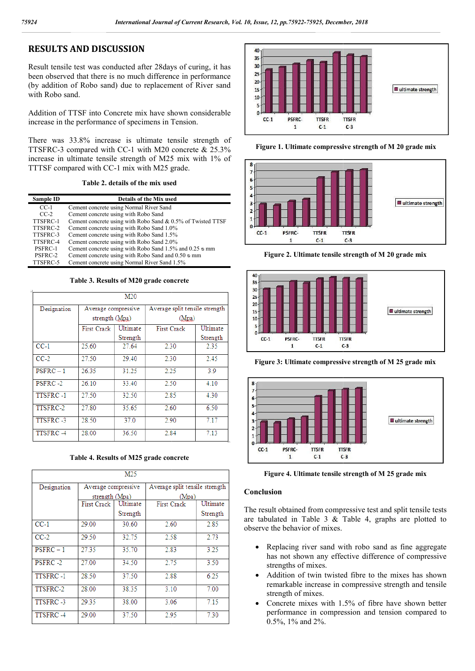# **RESULTS AND DISCUSSION**

Result tensile test was conducted after 28days of curing, it has been observed that there is no much difference in performance (by addition of Robo sand) due to replacement of River sand with Robo sand.

Addition of TTSF into Concrete mix have shown considerable increase in the performance of specimens in Tension.

There was 33.8% increase is ultimate tensile strength of TTSFRC-3 compared with CC-1 with M20 concrete & 25.3% increase in ultimate tensile strength of M25 mix with 1% of TTTSF compared with CC-1 mix with M25 grade.

## **Table 2. details of the mix used**

|           | TTSFRC-3 compared with CC-1 with M20 concrete $\&$ 25.3%<br>increase in ultimate tensile strength of M25 mix with 1% of<br>TTTSF compared with CC-1 mix with M25 grade.<br>Table 2. details of the mix used |
|-----------|-------------------------------------------------------------------------------------------------------------------------------------------------------------------------------------------------------------|
| Sample ID | <b>Details of the Mix used</b>                                                                                                                                                                              |
| $CC-1$    | Cement concrete using Normal River Sand                                                                                                                                                                     |
| $CC-2$    | Cement concrete using with Robo Sand                                                                                                                                                                        |
| TTSFRC-1  | Cement concrete using with Robo Sand & 0.5% of Twisted TTSF                                                                                                                                                 |
| TTSFRC-2  | Cement concrete using with Robo Sand 1.0%                                                                                                                                                                   |
| TTSFRC-3  | Cement concrete using with Robo Sand 1.5%                                                                                                                                                                   |
| TTSFRC-4  | Cement concrete using with Robo Sand 2.0%                                                                                                                                                                   |
| PSFRC-1   | Cement concrete using with Robo Sand 1.5% and 0.25 $\infty$ mm                                                                                                                                              |
| PSFRC-2   | Cement concrete using with Robo Sand and $0.50 \, \text{s}$ mm                                                                                                                                              |
| TTSFRC-5  | Cement concrete using Normal River Sand 1.5%                                                                                                                                                                |
|           |                                                                                                                                                                                                             |

#### **Table 3. Results of M20 grade concrete**

| M20         |                     |          |                                |          |  |  |  |  |
|-------------|---------------------|----------|--------------------------------|----------|--|--|--|--|
| Designation | Average compressive |          | Average split tensile strength |          |  |  |  |  |
|             | strength (Mpa)      |          | (Mpa)                          |          |  |  |  |  |
|             | <b>First Crack</b>  | Ultimate | <b>First Crack</b>             | Ultimate |  |  |  |  |
|             |                     | Strength |                                | Strength |  |  |  |  |
| $CC-1$      | 25.60               | 27.64    | 2.30                           | 2.35     |  |  |  |  |
| $CC-2$      | 27.50               | 29.40    | 2.30                           | 2.45     |  |  |  |  |
| $PBFRC-1$   | 26.35               | 31.25    | 2.25                           | 3.9      |  |  |  |  |
| PSFRC-2     | 26.10               | 33.40    | 2.50                           | 4.10     |  |  |  |  |
| TTSFRC-1    | 27.50               | 32.50    | 2.85                           | 4.30     |  |  |  |  |
| TTSFRC-2    | 27.80               | 35.65    | 2.60                           | 6.50     |  |  |  |  |
| TTSFRC-3    | 28.50               | 37.0     | 2.90                           | 7.17     |  |  |  |  |
| TTSFRC-4    | 28.00               | 36.50    | 2.84                           | 7.13     |  |  |  |  |

### **Table 4. Results of M25 grade concrete**

| M25         |                     |          |                                |          |  |  |  |  |
|-------------|---------------------|----------|--------------------------------|----------|--|--|--|--|
| Designation | Average compressive |          | Average split tensile strength |          |  |  |  |  |
|             | strength (Mpa)      |          | (Mpa)                          |          |  |  |  |  |
|             | <b>First Crack</b>  | Ultimate | <b>First Crack</b>             | Ultimate |  |  |  |  |
|             |                     | Strength |                                | Strength |  |  |  |  |
| $CC-1$      | 29.00               | 30.60    | 2.60                           | 2.85     |  |  |  |  |
| $CC-2$      | 29.50               | 32.75    | 2.58                           | 2.73     |  |  |  |  |
| $PSFRC - 1$ | 27.35               | 35.70    | 2.83                           | 3.25     |  |  |  |  |
| PSFRC-2     | 27.00               | 34.50    | 2.75                           | 3.50     |  |  |  |  |
| TTSFRC-1    | 28.50               | 37.50    | 2.88                           | 6.25     |  |  |  |  |
| TTSFRC-2    | 28.00               | 38.35    | 3.10                           | 7.00     |  |  |  |  |
| TTSFRC-3    | 29.35               | 38.00    | 3.06                           | 7.15     |  |  |  |  |
| TTSFRC-4    | 29.00               | 37.50    | 2.95                           | 7.30     |  |  |  |  |



**Figure 1. Ultimate compressive strength of M 20 grade mix**



**Figure 2. Ultimate tensile strength of M 20 grade mix**



**Figure 3: Ultimate compressive strength of M 25 grade mix**



**Figure 4. Ultimate tensile strength of M 25 grade mix**

### **Conclusion**

The result obtained from compressive test and split tensile tests are tabulated in Table 3 & Table 4, graphs are plotted to observe the behavior of mixes.

- Replacing river sand with robo sand as fine aggregate has not shown any effective difference of compressive strengths of mixes. Atabulated in Table 3 & Table 4, graphs are plotted to<br>
the mixes.<br>
• Replacing river sand with robo sand as fine aggregate<br>
has not shown any effective difference of compressive<br>
strengths of mixes.<br>
• Addition of twin t
- remarkable increase in compressive strength and tensile strength of mixes.
- Concrete mixes with 1.5% of fibre have shown better performance in compression and tension compared to 0.5%, 1% and 2%.